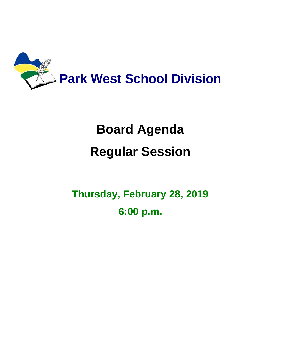

# **Board Agenda Regular Session**

**Thursday, February 28, 2019 6:00 p.m.**